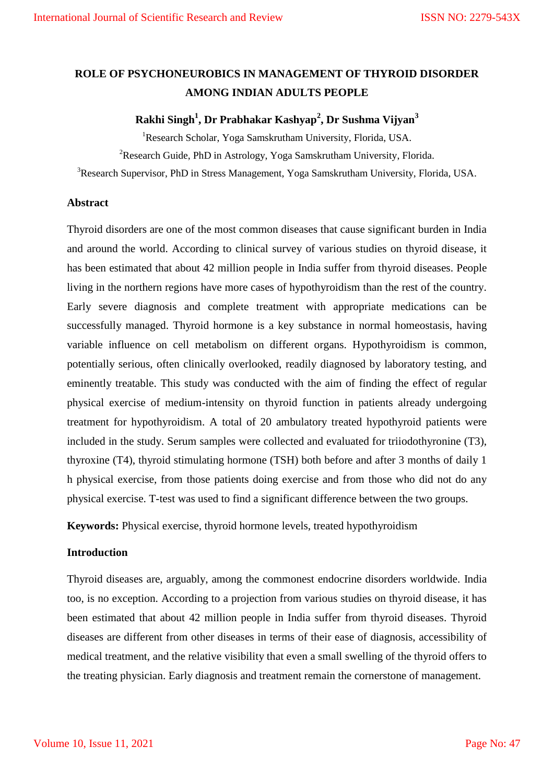# **ROLE OF PSYCHONEUROBICS IN MANAGEMENT OF THYROID DISORDER AMONG INDIAN ADULTS PEOPLE**

# **Rakhi Singh<sup>1</sup> , Dr Prabhakar Kashyap<sup>2</sup> , Dr Sushma Vijyan<sup>3</sup>**

<sup>1</sup>Research Scholar, Yoga Samskrutham University, Florida, USA.

<sup>2</sup>Research Guide, PhD in Astrology, Yoga Samskrutham University, Florida.

<sup>3</sup>Research Supervisor, PhD in Stress Management, Yoga Samskrutham University, Florida, USA.

#### **Abstract**

Thyroid disorders are one of the most common diseases that cause significant burden in India and around the world. According to clinical survey of various studies on thyroid disease, it has been estimated that about 42 million people in India suffer from thyroid diseases. People living in the northern regions have more cases of hypothyroidism than the rest of the country. Early severe diagnosis and complete treatment with appropriate medications can be successfully managed. Thyroid hormone is a key substance in normal homeostasis, having variable influence on cell metabolism on different organs. Hypothyroidism is common, potentially serious, often clinically overlooked, readily diagnosed by laboratory testing, and eminently treatable. This study was conducted with the aim of finding the effect of regular physical exercise of medium-intensity on thyroid function in patients already undergoing treatment for hypothyroidism. A total of 20 ambulatory treated hypothyroid patients were included in the study. Serum samples were collected and evaluated for triiodothyronine (T3), thyroxine (T4), thyroid stimulating hormone (TSH) both before and after 3 months of daily 1 h physical exercise, from those patients doing exercise and from those who did not do any physical exercise. T-test was used to find a significant difference between the two groups.

**Keywords:** Physical exercise, thyroid hormone levels, treated hypothyroidism

#### **Introduction**

Thyroid diseases are, arguably, among the commonest endocrine disorders worldwide. India too, is no exception. According to a projection from various studies on thyroid disease, it has been estimated that about 42 million people in India suffer from thyroid diseases. Thyroid diseases are different from other diseases in terms of their ease of diagnosis, accessibility of medical treatment, and the relative visibility that even a small swelling of the thyroid offers to the treating physician. Early diagnosis and treatment remain the cornerstone of management.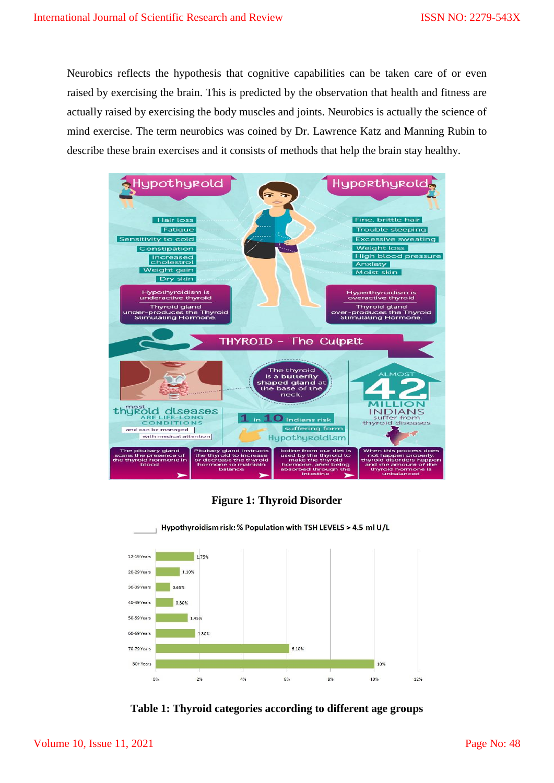Neurobics reflects the hypothesis that cognitive capabilities can be taken care of or even raised by exercising the brain. This is predicted by the observation that health and fitness are actually raised by exercising the body muscles and joints. Neurobics is actually the science of mind exercise. The term neurobics was coined by Dr. Lawrence Katz and Manning Rubin to describe these brain exercises and it consists of methods that help the brain stay healthy.



**Figure 1: Thyroid Disorder**



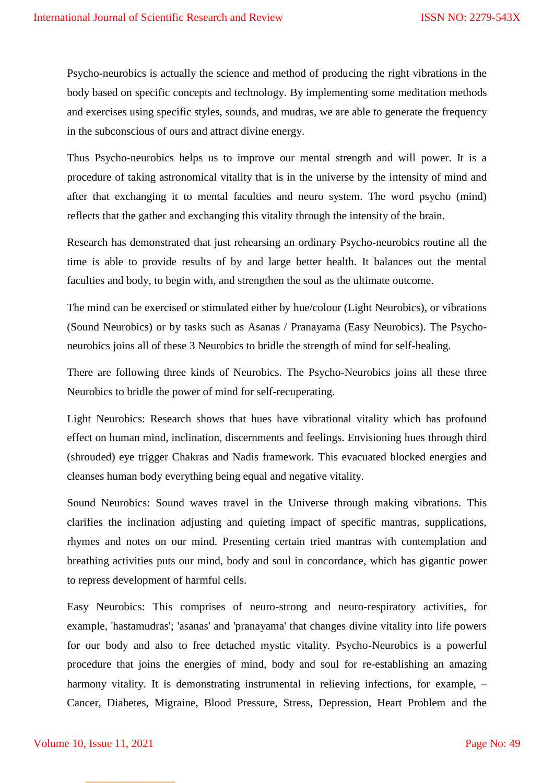Psycho-neurobics is actually the science and method of producing the right vibrations in the body based on specific concepts and technology. By implementing some meditation methods and exercises using specific styles, sounds, and mudras, we are able to generate the frequency in the subconscious of ours and attract divine energy.

Thus Psycho-neurobics helps us to improve our mental strength and will power. It is a procedure of taking astronomical vitality that is in the universe by the intensity of mind and after that exchanging it to mental faculties and neuro system. The word psycho (mind) reflects that the gather and exchanging this vitality through the intensity of the brain.

Research has demonstrated that just rehearsing an ordinary Psycho-neurobics routine all the time is able to provide results of by and large better health. It balances out the mental faculties and body, to begin with, and strengthen the soul as the ultimate outcome.

The mind can be exercised or stimulated either by hue/colour (Light Neurobics), or vibrations (Sound Neurobics) or by tasks such as Asanas / Pranayama (Easy Neurobics). The Psychoneurobics joins all of these 3 Neurobics to bridle the strength of mind for self-healing.

There are following three kinds of Neurobics. The Psycho-Neurobics joins all these three Neurobics to bridle the power of mind for self-recuperating.

Light Neurobics: Research shows that hues have vibrational vitality which has profound effect on human mind, inclination, discernments and feelings. Envisioning hues through third (shrouded) eye trigger Chakras and Nadis framework. This evacuated blocked energies and cleanses human body everything being equal and negative vitality.

Sound Neurobics: Sound waves travel in the Universe through making vibrations. This clarifies the inclination adjusting and quieting impact of specific mantras, supplications, rhymes and notes on our mind. Presenting certain tried mantras with contemplation and breathing activities puts our mind, body and soul in concordance, which has gigantic power to repress development of harmful cells.

Easy Neurobics: This comprises of neuro-strong and neuro-respiratory activities, for example, 'hastamudras'; 'asanas' and 'pranayama' that changes divine vitality into life powers for our body and also to free detached mystic vitality. Psycho-Neurobics is a powerful procedure that joins the energies of mind, body and soul for re-establishing an amazing harmony vitality. It is demonstrating instrumental in relieving infections, for example,  $-$ Cancer, Diabetes, Migraine, Blood Pressure, Stress, Depression, Heart Problem and the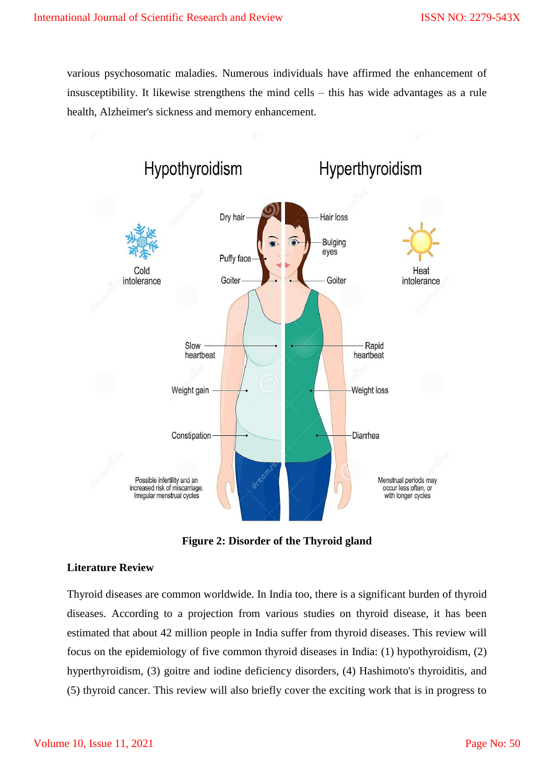various psychosomatic maladies. Numerous individuals have affirmed the enhancement of insusceptibility. It likewise strengthens the mind cells – this has wide advantages as a rule health, Alzheimer's sickness and memory enhancement.



**Figure 2: Disorder of the Thyroid gland**

#### **Literature Review**

Thyroid diseases are common worldwide. In India too, there is a significant burden of thyroid diseases. According to a projection from various studies on thyroid disease, it has been estimated that about 42 million people in India suffer from thyroid diseases. This review will focus on the epidemiology of five common thyroid diseases in India: (1) hypothyroidism, (2) hyperthyroidism, (3) goitre and iodine deficiency disorders, (4) Hashimoto's thyroiditis, and (5) thyroid cancer. This review will also briefly cover the exciting work that is in progress to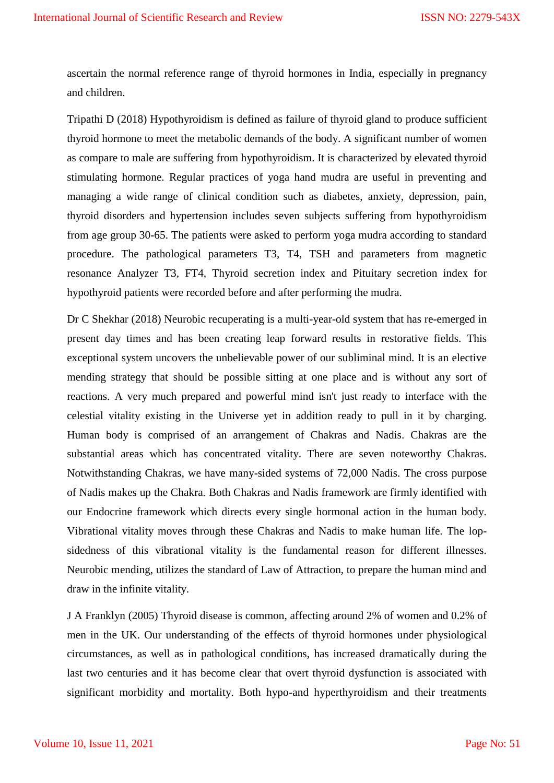ascertain the normal reference range of thyroid hormones in India, especially in pregnancy and children.

Tripathi D (2018) Hypothyroidism is defined as failure of thyroid gland to produce sufficient thyroid hormone to meet the metabolic demands of the body. A significant number of women as compare to male are suffering from hypothyroidism. It is characterized by elevated thyroid stimulating hormone. Regular practices of yoga hand mudra are useful in preventing and managing a wide range of clinical condition such as diabetes, anxiety, depression, pain, thyroid disorders and hypertension includes seven subjects suffering from hypothyroidism from age group 30-65. The patients were asked to perform yoga mudra according to standard procedure. The pathological parameters T3, T4, TSH and parameters from magnetic resonance Analyzer T3, FT4, Thyroid secretion index and Pituitary secretion index for hypothyroid patients were recorded before and after performing the mudra.

Dr C Shekhar (2018) Neurobic recuperating is a multi-year-old system that has re-emerged in present day times and has been creating leap forward results in restorative fields. This exceptional system uncovers the unbelievable power of our subliminal mind. It is an elective mending strategy that should be possible sitting at one place and is without any sort of reactions. A very much prepared and powerful mind isn't just ready to interface with the celestial vitality existing in the Universe yet in addition ready to pull in it by charging. Human body is comprised of an arrangement of Chakras and Nadis. Chakras are the substantial areas which has concentrated vitality. There are seven noteworthy Chakras. Notwithstanding Chakras, we have many-sided systems of 72,000 Nadis. The cross purpose of Nadis makes up the Chakra. Both Chakras and Nadis framework are firmly identified with our Endocrine framework which directs every single hormonal action in the human body. Vibrational vitality moves through these Chakras and Nadis to make human life. The lopsidedness of this vibrational vitality is the fundamental reason for different illnesses. Neurobic mending, utilizes the standard of Law of Attraction, to prepare the human mind and draw in the infinite vitality.

J A Franklyn (2005) Thyroid disease is common, affecting around 2% of women and 0.2% of men in the UK. Our understanding of the effects of thyroid hormones under physiological circumstances, as well as in pathological conditions, has increased dramatically during the last two centuries and it has become clear that overt thyroid dysfunction is associated with significant morbidity and mortality. Both hypo-and hyperthyroidism and their treatments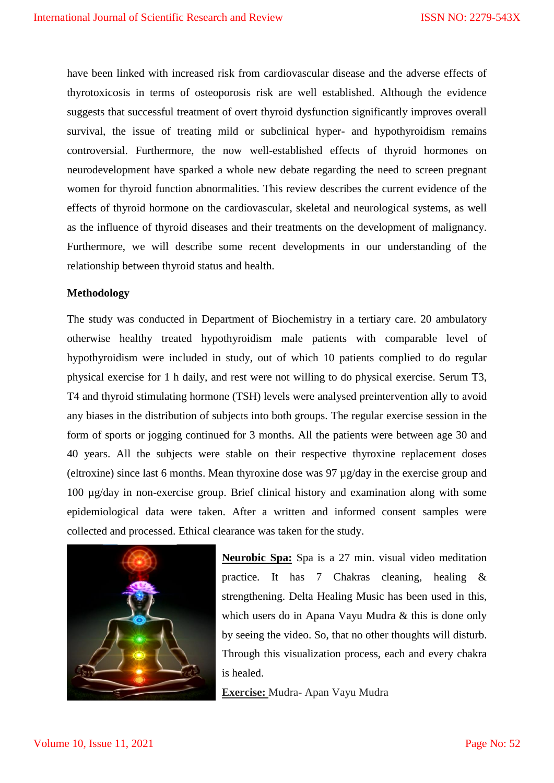have been linked with increased risk from cardiovascular disease and the adverse effects of thyrotoxicosis in terms of osteoporosis risk are well established. Although the evidence suggests that successful treatment of overt thyroid dysfunction significantly improves overall survival, the issue of treating mild or subclinical hyper- and hypothyroidism remains controversial. Furthermore, the now well-established effects of thyroid hormones on neurodevelopment have sparked a whole new debate regarding the need to screen pregnant women for thyroid function abnormalities. This review describes the current evidence of the effects of thyroid hormone on the cardiovascular, skeletal and neurological systems, as well as the influence of thyroid diseases and their treatments on the development of malignancy. Furthermore, we will describe some recent developments in our understanding of the relationship between thyroid status and health.

#### **Methodology**

The study was conducted in Department of Biochemistry in a tertiary care. 20 ambulatory otherwise healthy treated hypothyroidism male patients with comparable level of hypothyroidism were included in study, out of which 10 patients complied to do regular physical exercise for 1 h daily, and rest were not willing to do physical exercise. Serum T3, T4 and thyroid stimulating hormone (TSH) levels were analysed preintervention ally to avoid any biases in the distribution of subjects into both groups. The regular exercise session in the form of sports or jogging continued for 3 months. All the patients were between age 30 and 40 years. All the subjects were stable on their respective thyroxine replacement doses (eltroxine) since last 6 months. Mean thyroxine dose was 97 µg/day in the exercise group and 100 µg/day in non-exercise group. Brief clinical history and examination along with some epidemiological data were taken. After a written and informed consent samples were collected and processed. Ethical clearance was taken for the study.



**Neurobic Spa:** Spa is a 27 min. visual video meditation practice. It has 7 Chakras cleaning, healing & strengthening. Delta Healing Music has been used in this, which users do in Apana Vayu Mudra & this is done only by seeing the video. So, that no other thoughts will disturb. Through this visualization process, each and every chakra is healed.

**Exercise:** Mudra- Apan Vayu Mudra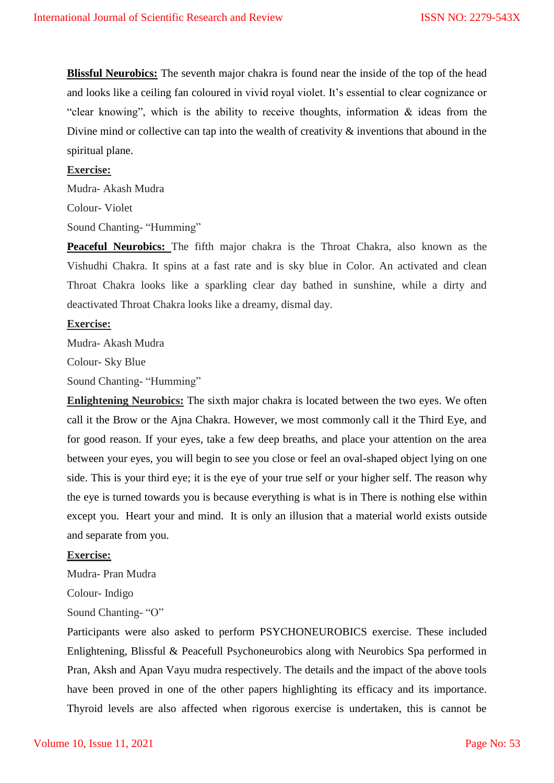**Blissful Neurobics:** The seventh major chakra is found near the inside of the top of the head and looks like a ceiling fan coloured in vivid royal violet. It's essential to clear cognizance or "clear knowing", which is the ability to receive thoughts, information & ideas from the Divine mind or collective can tap into the wealth of creativity  $\&$  inventions that abound in the spiritual plane.

#### **Exercise:**

Mudra- Akash Mudra

Colour- Violet

Sound Chanting- "Humming"

**Peaceful Neurobics:** The fifth major chakra is the Throat Chakra, also known as the Vishudhi Chakra. It spins at a fast rate and is sky blue in Color. An activated and clean Throat Chakra looks like a sparkling clear day bathed in sunshine, while a dirty and deactivated Throat Chakra looks like a dreamy, dismal day.

#### **Exercise:**

Mudra- Akash Mudra

Colour- Sky Blue

Sound Chanting- "Humming"

**Enlightening Neurobics:** The sixth major chakra is located between the two eyes. We often call it the Brow or the Ajna Chakra. However, we most commonly call it the Third Eye, and for good reason. If your eyes, take a few deep breaths, and place your attention on the area between your eyes, you will begin to see you close or feel an oval-shaped object lying on one side. This is your third eye; it is the eye of your true self or your higher self. The reason why the eye is turned towards you is because everything is what is in There is nothing else within except you. Heart your and mind. It is only an illusion that a material world exists outside and separate from you.

#### **Exercise:**

Mudra- Pran Mudra

Colour- Indigo

Sound Chanting- "O"

Participants were also asked to perform PSYCHONEUROBICS exercise. These included Enlightening, Blissful & Peacefull Psychoneurobics along with Neurobics Spa performed in Pran, Aksh and Apan Vayu mudra respectively. The details and the impact of the above tools have been proved in one of the other papers highlighting its efficacy and its importance. Thyroid levels are also affected when rigorous exercise is undertaken, this is cannot be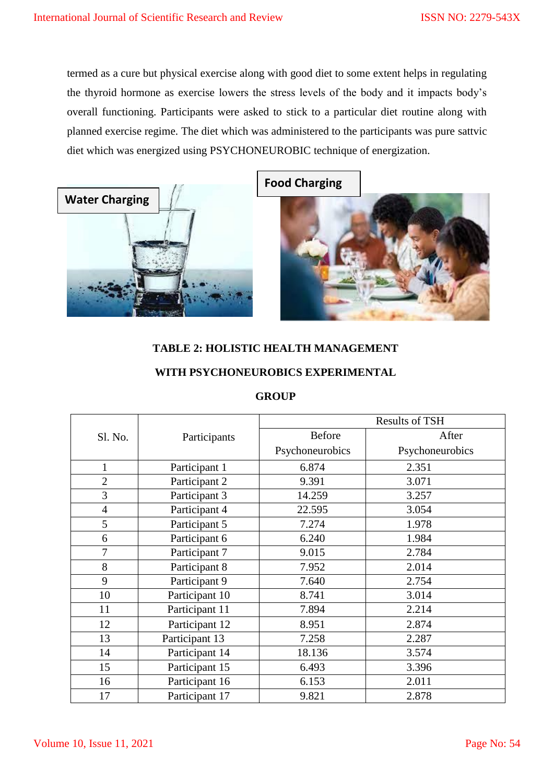termed as a cure but physical exercise along with good diet to some extent helps in regulating the thyroid hormone as exercise lowers the stress levels of the body and it impacts body's overall functioning. Participants were asked to stick to a particular diet routine along with planned exercise regime. The diet which was administered to the participants was pure sattvic diet which was energized using PSYCHONEUROBIC technique of energization.



**Food Charging**

# **TABLE 2: HOLISTIC HEALTH MANAGEMENT**

### **WITH PSYCHONEUROBICS EXPERIMENTAL**

#### **GROUP**

|                |                | <b>Results of TSH</b> |                 |  |
|----------------|----------------|-----------------------|-----------------|--|
| Sl. No.        | Participants   | <b>Before</b>         | After           |  |
|                |                | Psychoneurobics       | Psychoneurobics |  |
| $\mathbf{1}$   | Participant 1  | 6.874                 | 2.351           |  |
| $\overline{2}$ | Participant 2  | 9.391                 | 3.071           |  |
| 3              | Participant 3  | 14.259                | 3.257           |  |
| $\overline{4}$ | Participant 4  | 22.595                | 3.054           |  |
| 5              | Participant 5  | 7.274                 | 1.978           |  |
| 6              | Participant 6  | 6.240                 | 1.984           |  |
| 7              | Participant 7  | 9.015                 | 2.784           |  |
| 8              | Participant 8  | 7.952                 | 2.014           |  |
| 9              | Participant 9  | 7.640                 | 2.754           |  |
| 10             | Participant 10 | 8.741                 | 3.014           |  |
| 11             | Participant 11 | 7.894                 | 2.214           |  |
| 12             | Participant 12 | 8.951                 | 2.874           |  |
| 13             | Participant 13 | 7.258                 | 2.287           |  |
| 14             | Participant 14 | 18.136                | 3.574           |  |
| 15             | Participant 15 | 6.493                 | 3.396           |  |
| 16             | Participant 16 | 6.153                 | 2.011           |  |
| 17             | Participant 17 | 9.821                 | 2.878           |  |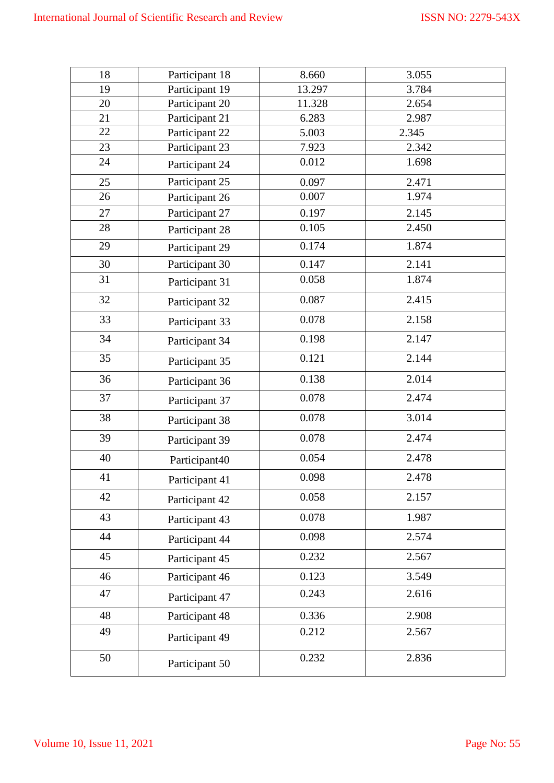| 18 | Participant 18 | 8.660  | 3.055 |
|----|----------------|--------|-------|
| 19 | Participant 19 | 13.297 | 3.784 |
| 20 | Participant 20 | 11.328 | 2.654 |
| 21 | Participant 21 | 6.283  | 2.987 |
| 22 | Participant 22 | 5.003  | 2.345 |
| 23 | Participant 23 | 7.923  | 2.342 |
| 24 | Participant 24 | 0.012  | 1.698 |
| 25 | Participant 25 | 0.097  | 2.471 |
| 26 | Participant 26 | 0.007  | 1.974 |
| 27 | Participant 27 | 0.197  | 2.145 |
| 28 | Participant 28 | 0.105  | 2.450 |
| 29 | Participant 29 | 0.174  | 1.874 |
| 30 | Participant 30 | 0.147  | 2.141 |
| 31 | Participant 31 | 0.058  | 1.874 |
| 32 | Participant 32 | 0.087  | 2.415 |
| 33 | Participant 33 | 0.078  | 2.158 |
| 34 | Participant 34 | 0.198  | 2.147 |
| 35 | Participant 35 | 0.121  | 2.144 |
| 36 | Participant 36 | 0.138  | 2.014 |
| 37 | Participant 37 | 0.078  | 2.474 |
| 38 | Participant 38 | 0.078  | 3.014 |
| 39 | Participant 39 | 0.078  | 2.474 |
| 40 | Participant40  | 0.054  | 2.478 |
| 41 | Participant 41 | 0.098  | 2.478 |
| 42 | Participant 42 | 0.058  | 2.157 |
| 43 | Participant 43 | 0.078  | 1.987 |
| 44 | Participant 44 | 0.098  | 2.574 |
| 45 | Participant 45 | 0.232  | 2.567 |
| 46 | Participant 46 | 0.123  | 3.549 |
| 47 | Participant 47 | 0.243  | 2.616 |
| 48 | Participant 48 | 0.336  | 2.908 |
| 49 | Participant 49 | 0.212  | 2.567 |
| 50 | Participant 50 | 0.232  | 2.836 |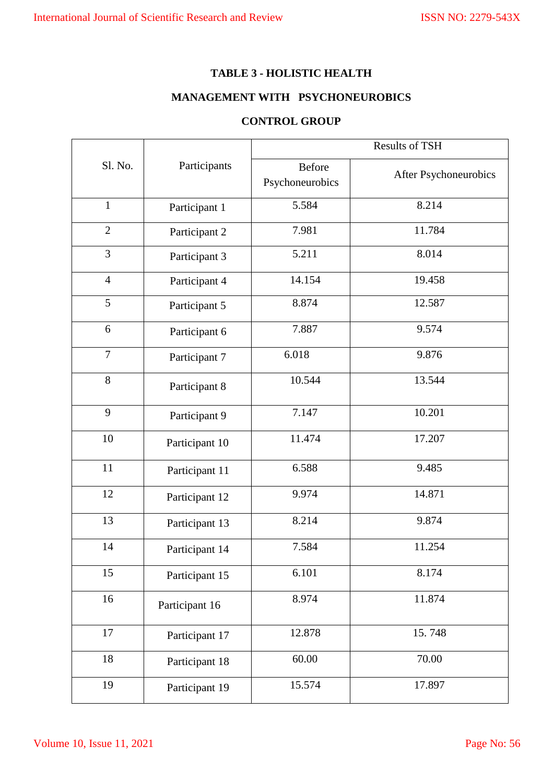#### **TABLE 3 - HOLISTIC HEALTH**

# **MANAGEMENT WITH PSYCHONEUROBICS**

## **CONTROL GROUP**

|                |                | <b>Results of TSH</b>            |                       |  |
|----------------|----------------|----------------------------------|-----------------------|--|
| Sl. No.        | Participants   | <b>Before</b><br>Psychoneurobics | After Psychoneurobics |  |
| $\mathbf{1}$   | Participant 1  | 5.584                            | 8.214                 |  |
| $\overline{2}$ | Participant 2  | 7.981                            | 11.784                |  |
| 3              | Participant 3  | 5.211                            | 8.014                 |  |
| $\overline{4}$ | Participant 4  | 14.154                           | 19.458                |  |
| 5              | Participant 5  | 8.874                            | 12.587                |  |
| 6              | Participant 6  | 7.887                            | 9.574                 |  |
| $\overline{7}$ | Participant 7  | 6.018                            | 9.876                 |  |
| 8              | Participant 8  | 10.544                           | 13.544                |  |
| 9              | Participant 9  | 7.147                            | 10.201                |  |
| 10             | Participant 10 | 11.474                           | 17.207                |  |
| 11             | Participant 11 | 6.588                            | 9.485                 |  |
| 12             | Participant 12 | 9.974                            | 14.871                |  |
| 13             | Participant 13 | 8.214                            | 9.874                 |  |
| 14             | Participant 14 | 7.584                            | 11.254                |  |
| 15             | Participant 15 | 6.101                            | 8.174                 |  |
| 16             | Participant 16 | 8.974                            | 11.874                |  |
| 17             | Participant 17 | 12.878                           | 15.748                |  |
| 18             | Participant 18 | 60.00                            | 70.00                 |  |
| 19             | Participant 19 | 15.574                           | 17.897                |  |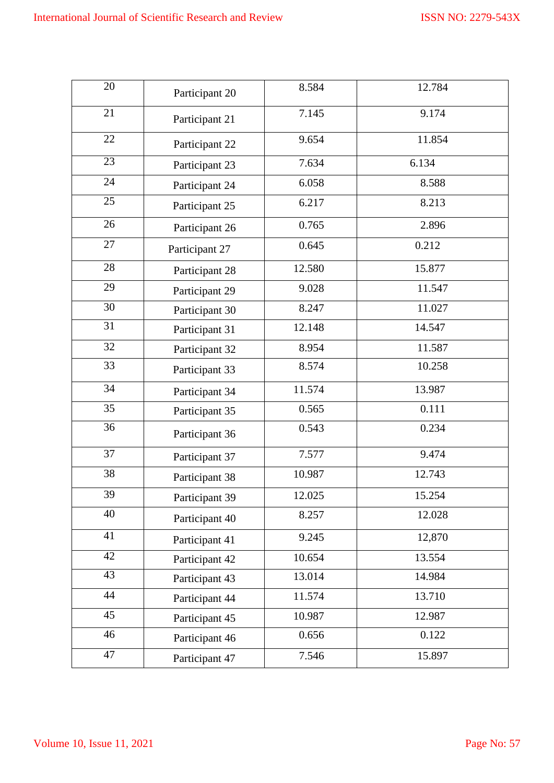| 20              | Participant 20 | 8.584  | 12.784 |
|-----------------|----------------|--------|--------|
| 21              | Participant 21 | 7.145  | 9.174  |
| 22              | Participant 22 | 9.654  | 11.854 |
| $\overline{23}$ | Participant 23 | 7.634  | 6.134  |
| 24              | Participant 24 | 6.058  | 8.588  |
| $\overline{25}$ | Participant 25 | 6.217  | 8.213  |
| 26              | Participant 26 | 0.765  | 2.896  |
| 27              | Participant 27 | 0.645  | 0.212  |
| 28              | Participant 28 | 12.580 | 15.877 |
| 29              | Participant 29 | 9.028  | 11.547 |
| 30              | Participant 30 | 8.247  | 11.027 |
| 31              | Participant 31 | 12.148 | 14.547 |
| 32              | Participant 32 | 8.954  | 11.587 |
| 33              | Participant 33 | 8.574  | 10.258 |
| 34              | Participant 34 | 11.574 | 13.987 |
| 35              | Participant 35 | 0.565  | 0.111  |
| 36              | Participant 36 | 0.543  | 0.234  |
| 37              | Participant 37 | 7.577  | 9.474  |
| 38              | Participant 38 | 10.987 | 12.743 |
| 39              | Participant 39 | 12.025 | 15.254 |
| 40              | Participant 40 | 8.257  | 12.028 |
| 41              | Participant 41 | 9.245  | 12,870 |
| $\overline{42}$ | Participant 42 | 10.654 | 13.554 |
| $\overline{43}$ | Participant 43 | 13.014 | 14.984 |
| 44              | Participant 44 | 11.574 | 13.710 |
| 45              | Participant 45 | 10.987 | 12.987 |
| 46              | Participant 46 | 0.656  | 0.122  |
| 47              | Participant 47 | 7.546  | 15.897 |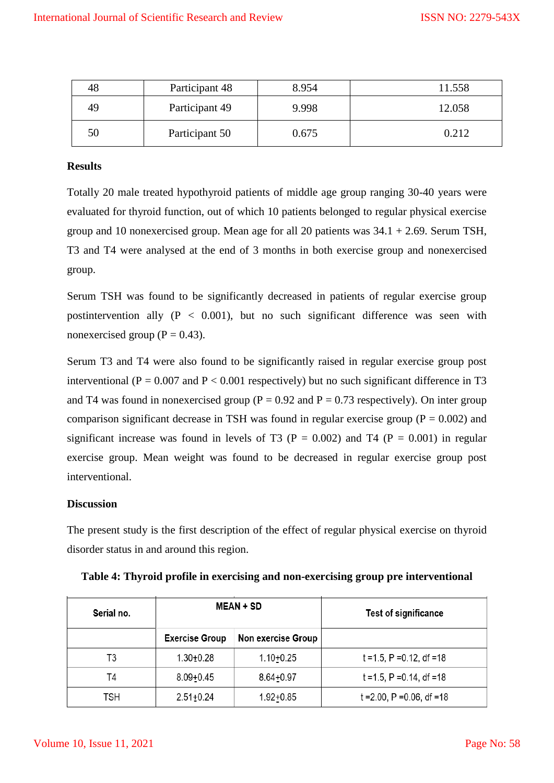| 48 | Participant 48 | 8.954 | 11.558 |
|----|----------------|-------|--------|
| 49 | Participant 49 | 9.998 | 12.058 |
| 50 | Participant 50 | 0.675 | 0.212  |

#### **Results**

Totally 20 male treated hypothyroid patients of middle age group ranging 30-40 years were evaluated for thyroid function, out of which 10 patients belonged to regular physical exercise group and 10 nonexercised group. Mean age for all 20 patients was  $34.1 + 2.69$ . Serum TSH, T3 and T4 were analysed at the end of 3 months in both exercise group and nonexercised group.

Serum TSH was found to be significantly decreased in patients of regular exercise group postintervention ally  $(P < 0.001)$ , but no such significant difference was seen with nonexercised group ( $P = 0.43$ ).

Serum T3 and T4 were also found to be significantly raised in regular exercise group post interventional ( $P = 0.007$  and  $P < 0.001$  respectively) but no such significant difference in T3 and T4 was found in nonexercised group ( $P = 0.92$  and  $P = 0.73$  respectively). On inter group comparison significant decrease in TSH was found in regular exercise group ( $P = 0.002$ ) and significant increase was found in levels of T3 ( $P = 0.002$ ) and T4 ( $P = 0.001$ ) in regular exercise group. Mean weight was found to be decreased in regular exercise group post interventional.

#### **Discussion**

The present study is the first description of the effect of regular physical exercise on thyroid disorder status in and around this region.

| Serial no. | <b>MEAN + SD</b>      |                    | <b>Test of significance</b>    |
|------------|-----------------------|--------------------|--------------------------------|
|            | <b>Exercise Group</b> | Non exercise Group |                                |
| T3         | $1.30 + 0.28$         | $1.10 + 0.25$      | $t = 1.5$ , P = 0.12, df = 18  |
| T4         | $8.09 + 0.45$         | $8.64 + 0.97$      | $t = 1.5$ , P = 0.14, df = 18  |
| TSH        | $2.51 \pm 0.24$       | $1.92 + 0.85$      | $t = 2.00$ , P = 0.06, df = 18 |

**Table 4: Thyroid profile in exercising and non-exercising group pre interventional**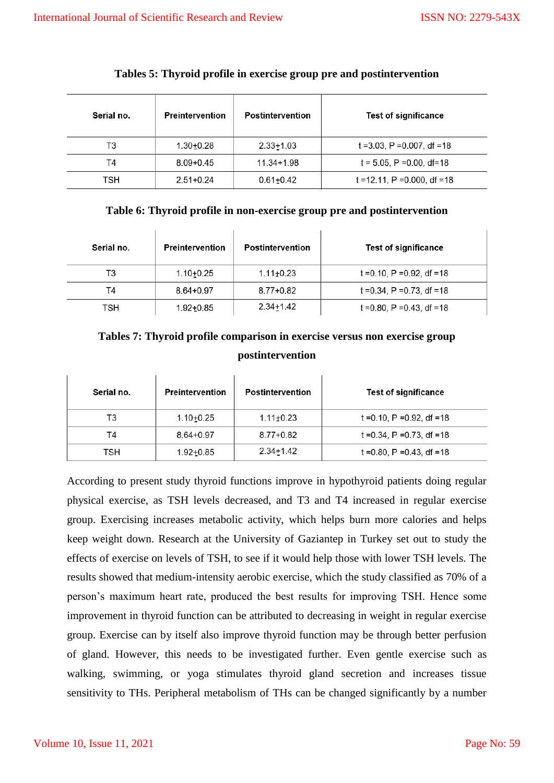| Serial no. | Preintervention | <b>Postintervention</b> | <b>Test of significance</b>      |
|------------|-----------------|-------------------------|----------------------------------|
| T3         | $1.30 + 0.28$   | $2.33 + 1.03$           | $t = 3.03$ , P = 0.007, df = 18  |
| T4         | $8.09 + 0.45$   | $11.34 + 1.98$          | $t = 5.05$ , P = 0.00, df = 18   |
| TSH        | $2.51 + 0.24$   | $0.61 + 0.42$           | $t = 12.11$ , P = 0.000, df = 18 |

#### **Tables 5: Thyroid profile in exercise group pre and postintervention**

#### **Table 6: Thyroid profile in non-exercise group pre and postintervention**

| Serial no. | <b>Preintervention</b> | <b>Postintervention</b> | <b>Test of significance</b>    |
|------------|------------------------|-------------------------|--------------------------------|
| T3         | $1.10 + 0.25$          | $1.11 \pm 0.23$         | $t = 0.10$ , P = 0.92, df = 18 |
| T4         | $8.64 + 0.97$          | 8.77+0.82               | $t = 0.34$ , P = 0.73, df = 18 |
| TSH        | $1.92 + 0.85$          | 2.34+1.42               | $t = 0.80$ , P = 0.43, df = 18 |

# **Tables 7: Thyroid profile comparison in exercise versus non exercise group postintervention**

| Serial no. | Preintervention | <b>Postintervention</b> | <b>Test of significance</b>    |
|------------|-----------------|-------------------------|--------------------------------|
| T3         | $1.10 + 0.25$   | $1.11 \pm 0.23$         | $t = 0.10$ , P = 0.92, df = 18 |
| Τ4         | $8.64 + 0.97$   | $8.77 + 0.82$           | t = 0.34, P = 0.73, df = 18    |
| TSH        | $1.92 + 0.85$   | $2.34 + 1.42$           | t = 0.80, $P = 0.43$ , df = 18 |

According to present study thyroid functions improve in hypothyroid patients doing regular physical exercise, as TSH levels decreased, and T3 and T4 increased in regular exercise group. Exercising increases metabolic activity, which helps burn more calories and helps keep weight down. Research at the University of Gaziantep in Turkey set out to study the effects of exercise on levels of TSH, to see if it would help those with lower TSH levels. The results showed that medium-intensity aerobic exercise, which the study classified as 70% of a person's maximum heart rate, produced the best results for improving TSH. Hence some improvement in thyroid function can be attributed to decreasing in weight in regular exercise group. Exercise can by itself also improve thyroid function may be through better perfusion of gland. However, this needs to be investigated further. Even gentle exercise such as walking, swimming, or yoga stimulates thyroid gland secretion and increases tissue sensitivity to THs. Peripheral metabolism of THs can be changed significantly by a number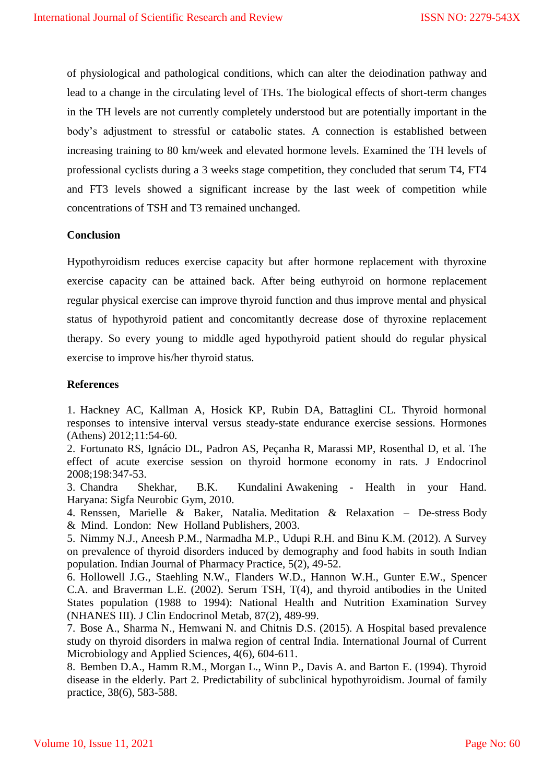of physiological and pathological conditions, which can alter the deiodination pathway and lead to a change in the circulating level of THs. The biological effects of short-term changes in the TH levels are not currently completely understood but are potentially important in the body's adjustment to stressful or catabolic states. A connection is established between increasing training to 80 km/week and elevated hormone levels. Examined the TH levels of professional cyclists during a 3 weeks stage competition, they concluded that serum T4, FT4 and FT3 levels showed a significant increase by the last week of competition while concentrations of TSH and T3 remained unchanged.

#### **Conclusion**

Hypothyroidism reduces exercise capacity but after hormone replacement with thyroxine exercise capacity can be attained back. After being euthyroid on hormone replacement regular physical exercise can improve thyroid function and thus improve mental and physical status of hypothyroid patient and concomitantly decrease dose of thyroxine replacement therapy. So every young to middle aged hypothyroid patient should do regular physical exercise to improve his/her thyroid status.

#### **References**

1. Hackney AC, Kallman A, Hosick KP, Rubin DA, Battaglini CL. Thyroid hormonal responses to intensive interval versus steady-state endurance exercise sessions. Hormones (Athens) 2012;11:54-60.

2. Fortunato RS, Ignácio DL, Padron AS, Peçanha R, Marassi MP, Rosenthal D, et al. The effect of acute exercise session on thyroid hormone economy in rats. J Endocrinol 2008;198:347-53.

3. Chandra Shekhar, B.K. Kundalini Awakening - Health in your Hand. Haryana: Sigfa Neurobic Gym, 2010.

4. Renssen, Marielle & Baker, Natalia. Meditation & Relaxation – De-stress Body & Mind. London: New Holland Publishers, 2003.

5. Nimmy N.J., Aneesh P.M., Narmadha M.P., Udupi R.H. and Binu K.M. (2012). A Survey on prevalence of thyroid disorders induced by demography and food habits in south Indian population. Indian Journal of Pharmacy Practice, 5(2), 49-52.

6. Hollowell J.G., Staehling N.W., Flanders W.D., Hannon W.H., Gunter E.W., Spencer C.A. and Braverman L.E. (2002). Serum TSH, T(4), and thyroid antibodies in the United States population (1988 to 1994): National Health and Nutrition Examination Survey (NHANES III). J Clin Endocrinol Metab, 87(2), 489-99.

7. Bose A., Sharma N., Hemwani N. and Chitnis D.S. (2015). A Hospital based prevalence study on thyroid disorders in malwa region of central India. International Journal of Current Microbiology and Applied Sciences, 4(6), 604-611.

8. Bemben D.A., Hamm R.M., Morgan L., Winn P., Davis A. and Barton E. (1994). Thyroid disease in the elderly. Part 2. Predictability of subclinical hypothyroidism. Journal of family practice, 38(6), 583-588.